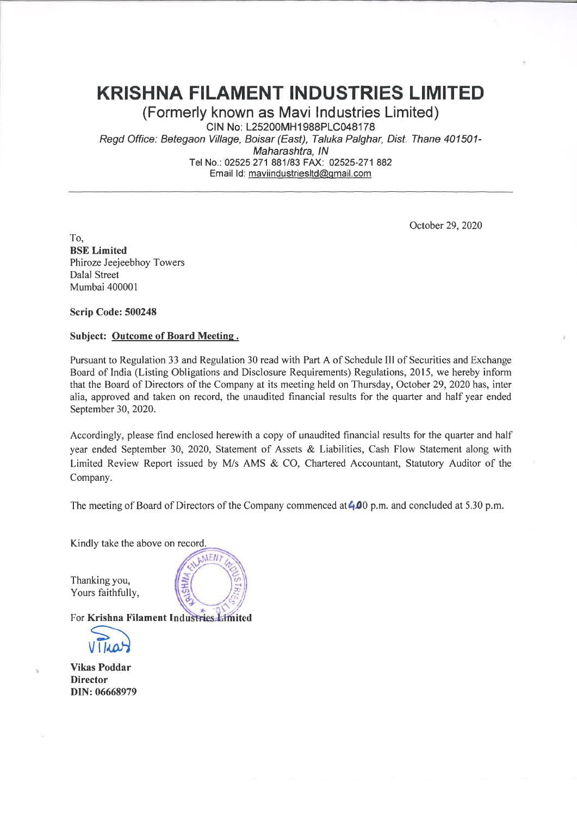# **KRISHNA FILAMENT INDUSTRIES LIMITED**

**(Formerly knownas Mavi IndustriesLimited)**

CIN No: L25200MH1988PLC048178 *Regd Office: Betegaon Village, Boisar(East), Taluka Palghar, Dist. Thane 401501- Maharashtra, IN* Tel No.: 02525271 881/83 FAX: 02525-271 882 Email Id: maviindustriesltd@gmail.c

October 29, 2020

To, **BSE Limite** Phiroze Jeejeebhoy Towers Dalal Street Mumbai 400001

Scrip Code: 500248

#### Subject: Outcome of Board Meeting.

Pursuant to Regulation 33 and Regulation 30 read with Part A of Schedule III of Securities and Exchange Board of India (Listing Obligations and Disclosure Requirements) Regulations, 2015, we hereby inform that the Board of Directors of the Company at its meeting held on Thursday, October 29,2020 has, inter alia, approved and taken on record, the unaudited financial results for the quarter and half year ended September 30, 2020.

Accordingly, please find enclosed herewith <sup>a</sup> copy of unaudited financial results for the quarter and half year ended September 30, 2020, Statement of Assets & Liabilities, Cash Flow Statement along with Limited Review Report issued by *Mis* AMS & CO, Chartered Accountant, Statutory Auditor of the Company.

The meeting of Board of Directors of the Company commenced at  $\angle 4.00$  p.m. and concluded at 5.30 p.m.

Kindly take the above on record.

Thanking you, Yours faithfully, MEN<sub>7</sub>

For Krishna Filament Industries Limited

Vikas Podda Directo DIN: 06668979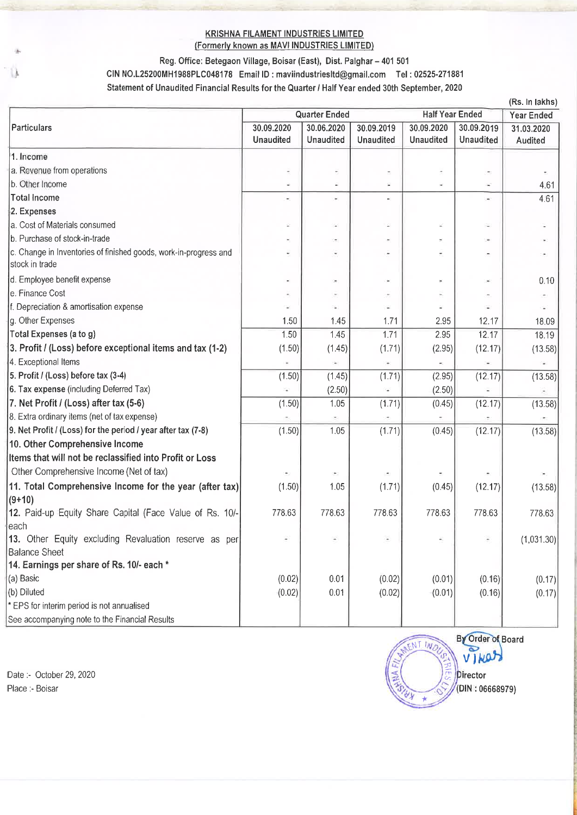#### **KRISHNA FILAMENT INDUSTRIES LIMITED** (Formerly known as MAVI INDUSTRIES LIMITED)

# Reg. Office: Betegaon Village, Boisar (East), Dist. Palghar - 401 501 CIN NO.L25200MH1988PLC048178 Email ID: maviindustriesItd@gmail.com Tel: 02525-271881 Statement of Unaudited Financial Results for the Quarter / Half Year ended 30th September, 2020

|                                                                                    |                                |                                        |                                |                                |                                | (Rs. In lakhs)        |  |
|------------------------------------------------------------------------------------|--------------------------------|----------------------------------------|--------------------------------|--------------------------------|--------------------------------|-----------------------|--|
| Particulars                                                                        | <b>Quarter Ended</b>           |                                        |                                | <b>Half Year Ended</b>         |                                | <b>Year Ended</b>     |  |
|                                                                                    | 30.09.2020<br><b>Unaudited</b> | 30.06.2020<br><b>Unaudited</b>         | 30.09.2019<br><b>Unaudited</b> | 30.09.2020<br><b>Unaudited</b> | 30.09.2019<br><b>Unaudited</b> | 31.03.2020<br>Audited |  |
| 1. Income                                                                          |                                |                                        |                                |                                |                                |                       |  |
| a. Revenue from operations                                                         | ŧ.                             | ÷                                      |                                | ٠                              |                                |                       |  |
| b. Other Income                                                                    |                                |                                        |                                |                                |                                | 4.61                  |  |
| Total Income                                                                       | $\frac{1}{2}$                  | $\left\langle \mathbf{r}\right\rangle$ | ×,                             |                                | $\overline{\phantom{a}}$       | 4.61                  |  |
| 2. Expenses                                                                        |                                |                                        |                                |                                |                                |                       |  |
| a. Cost of Materials consumed                                                      | ×                              |                                        |                                |                                |                                |                       |  |
| b. Purchase of stock-in-trade                                                      |                                | ×                                      |                                |                                |                                |                       |  |
| c. Change in Inventories of finished goods, work-in-progress and<br>stock in trade | ۰                              | ÷                                      | ÷                              |                                |                                |                       |  |
| d. Employee benefit expense                                                        |                                | ٠                                      |                                |                                | $\overline{\phantom{a}}$       | 0.10                  |  |
| e. Finance Cost                                                                    |                                |                                        |                                |                                |                                |                       |  |
| f. Depreciation & amortisation expense                                             |                                |                                        |                                |                                |                                |                       |  |
| g. Other Expenses                                                                  | 1.50                           | 1.45                                   | 1.71                           | 2.95                           | 12.17                          | 18.09                 |  |
| Total Expenses (a to g)                                                            | 1.50                           | 1.45                                   | 1.71                           | 2.95                           | 12.17                          | 18.19                 |  |
| 3. Profit / (Loss) before exceptional items and tax (1-2)                          | (1.50)                         | (1.45)                                 | (1.71)                         | (2.95)                         | (12.17)                        | (13.58)               |  |
| 4. Exceptional Items                                                               |                                |                                        |                                |                                |                                |                       |  |
| 5. Profit / (Loss) before tax (3-4)                                                | (1.50)                         | (1.45)                                 | (1.71)                         | (2.95)                         | (12.17)                        | (13.58)               |  |
| 6. Tax expense (including Deferred Tax)                                            |                                | (2.50)                                 |                                | (2.50)                         |                                |                       |  |
| 7. Net Profit / (Loss) after tax (5-6)                                             | (1.50)                         | 1.05                                   | (1.71)                         | (0.45)                         | (12.17)                        | (13.58)               |  |
| 8. Extra ordinary items (net of tax expense)                                       |                                |                                        |                                |                                |                                |                       |  |
| 9. Net Profit / (Loss) for the period / year after tax (7-8)                       | (1.50)                         | 1.05                                   | (1.71)                         | (0.45)                         | (12.17)                        | (13.58)               |  |
| 10. Other Comprehensive Income                                                     |                                |                                        |                                |                                |                                |                       |  |
| Items that will not be reclassified into Profit or Loss                            |                                |                                        |                                |                                |                                |                       |  |
| Other Comprehensive Income (Net of tax)                                            |                                |                                        |                                |                                |                                |                       |  |
| 11. Total Comprehensive Income for the year (after tax)                            | (1.50)                         | 1.05                                   | (1.71)                         | (0.45)                         | (12.17)                        | (13.58)               |  |
| $(9+10)$                                                                           |                                |                                        |                                |                                |                                |                       |  |
| 12. Paid-up Equity Share Capital (Face Value of Rs. 10/-                           | 778.63                         | 778.63                                 | 778.63                         | 778.63                         | 778.63                         | 778.63                |  |
| each                                                                               |                                |                                        |                                |                                |                                |                       |  |
| 13. Other Equity excluding Revaluation reserve as per<br><b>Balance Sheet</b>      |                                | $\overline{\phantom{a}}$               |                                |                                |                                | (1,031.30)            |  |
| 14. Earnings per share of Rs. 10/- each *                                          |                                |                                        |                                |                                |                                |                       |  |
| (a) Basic                                                                          | (0.02)                         | 0.01                                   | (0.02)                         | (0.01)                         | (0.16)                         | (0.17)                |  |
| (b) Diluted                                                                        | (0.02)                         | 0.01                                   | (0.02)                         | (0.01)                         | (0.16)                         | (0.17)                |  |
| * EPS for interim period is not annualised                                         |                                |                                        |                                |                                |                                |                       |  |
| See accompanying note to the Financial Results                                     |                                |                                        |                                |                                |                                |                       |  |

Date :- October 29, 2020 Place :- Boisar



0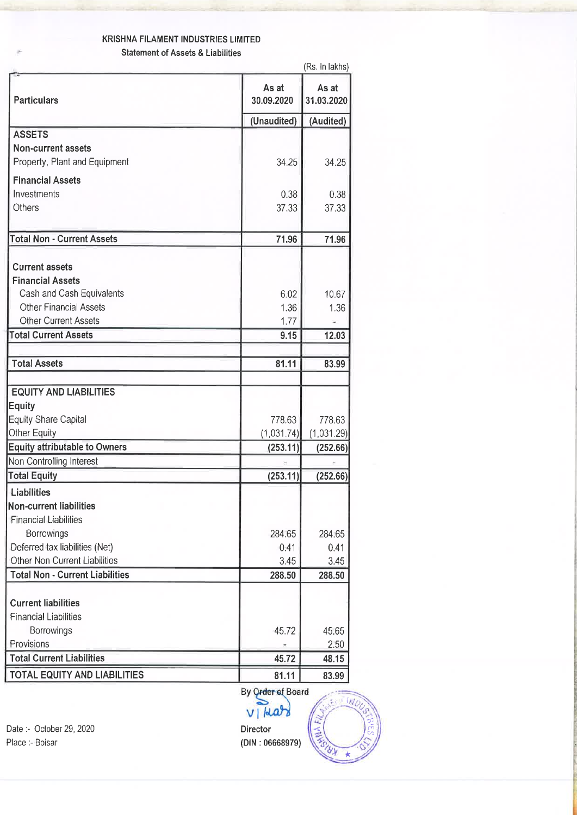## KRISHNA FILAMENT INDUSTRIES LIMITED

Statement of Assets & Liabilities

| <b>Particulars</b>                                              | As at<br>30.09.2020 | As at<br>31.03.2020 |  |
|-----------------------------------------------------------------|---------------------|---------------------|--|
|                                                                 | (Unaudited)         | (Audited)           |  |
| <b>ASSETS</b>                                                   |                     |                     |  |
| <b>Non-current assets</b>                                       |                     |                     |  |
| Property, Plant and Equipment                                   | 34.25               | 34.25               |  |
| <b>Financial Assets</b>                                         |                     |                     |  |
| Investments                                                     | 0.38                | 0.38                |  |
| Others                                                          | 37.33               | 37.33               |  |
|                                                                 |                     |                     |  |
| <b>Total Non - Current Assets</b>                               | 71.96               | 71.96               |  |
| <b>Current assets</b>                                           |                     |                     |  |
| <b>Financial Assets</b>                                         |                     |                     |  |
| Cash and Cash Equivalents                                       | 6.02                | 10.67               |  |
| <b>Other Financial Assets</b>                                   | 1.36                | 1.36                |  |
| <b>Other Current Assets</b>                                     | 1.77                |                     |  |
| <b>Total Current Assets</b>                                     | 9.15                | 12.03               |  |
|                                                                 |                     |                     |  |
| <b>Total Assets</b>                                             | 81.11               | 83.99               |  |
|                                                                 |                     |                     |  |
| <b>EQUITY AND LIABILITIES</b>                                   |                     |                     |  |
| <b>Equity</b>                                                   |                     |                     |  |
| Equity Share Capital                                            | 778.63              | 778.63              |  |
| Other Equity                                                    | (1,031.74)          | (1,031.29)          |  |
| <b>Equity attributable to Owners</b>                            | (253.11)            | (252.66)            |  |
| Non Controlling Interest                                        |                     |                     |  |
| <b>Total Equity</b>                                             | (253.11)            | (252.66)            |  |
| Liabilities                                                     |                     |                     |  |
| <b>Non-current liabilities</b>                                  |                     |                     |  |
| <b>Financial Liabilities</b>                                    |                     |                     |  |
| Borrowings                                                      | 284.65              | 284.65              |  |
| Deferred tax liabilities (Net)<br>Other Non Current Liabilities | 0.41<br>3.45        | 0.41<br>3.45        |  |
| <b>Total Non - Current Liabilities</b>                          | 288.50              | 288.50              |  |
|                                                                 |                     |                     |  |
| <b>Current liabilities</b>                                      |                     |                     |  |
| <b>Financial Liabilities</b>                                    |                     |                     |  |
| Borrowings                                                      | 45.72               | 45.65               |  |
| Provisions                                                      |                     | 2.50                |  |
| <b>Total Current Liabilities</b>                                | 45.72               | 48.15               |  |
| <b>TOTAL EQUITY AND LIABILITIES</b>                             | 81.11               | 83.99               |  |

VI Har Director (DIN: 066£8979)

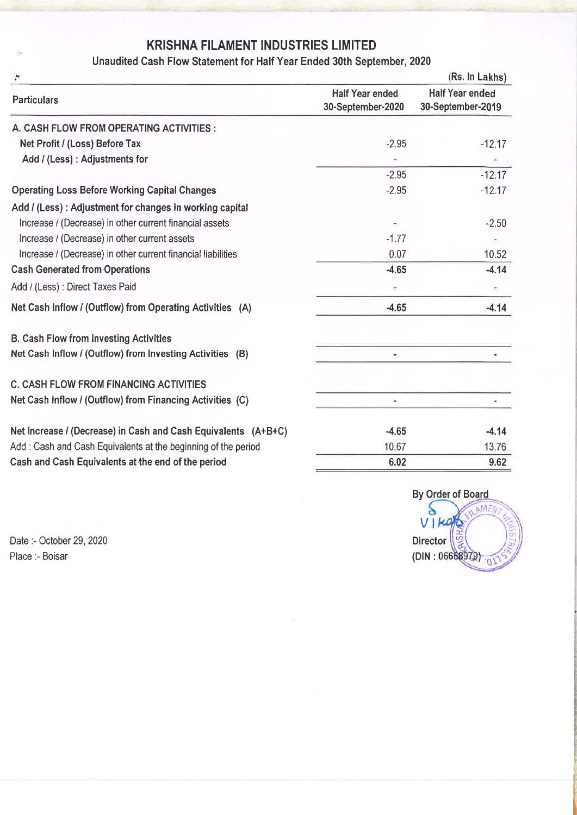# **KRISHNA FILAMENT INDUSTRIES LIMITED**

# Unaudited Cash Flow Statement for Half Year Ended 30th September, 2020

| ÷.                                                             | (Rs. In Lakhs)                              |                                             |  |  |
|----------------------------------------------------------------|---------------------------------------------|---------------------------------------------|--|--|
| <b>Particulars</b>                                             | <b>Half Year ended</b><br>30-September-2020 | <b>Half Year ended</b><br>30-September-2019 |  |  |
| A. CASH FLOW FROM OPERATING ACTIVITIES :                       |                                             |                                             |  |  |
| Net Profit / (Loss) Before Tax                                 | $-2.95$                                     | $-12.17$                                    |  |  |
| Add / (Less) : Adjustments for                                 |                                             |                                             |  |  |
|                                                                | $-2.95$                                     | $-12.17$                                    |  |  |
| <b>Operating Loss Before Working Capital Changes</b>           | $-2.95$                                     | $-12.17$                                    |  |  |
| Add / (Less) : Adjustment for changes in working capital       |                                             |                                             |  |  |
| Increase / (Decrease) in other current financial assets        | ÷                                           | $-2.50$                                     |  |  |
| Increase / (Decrease) in other current assets                  | $-1.77$                                     |                                             |  |  |
| Increase / (Decrease) in other current financial liabilities   | 0.07                                        | 10.52                                       |  |  |
| <b>Cash Generated from Operations</b>                          | $-4.65$                                     | $-4.14$                                     |  |  |
| Add / (Less) : Direct Taxes Paid                               |                                             |                                             |  |  |
| Net Cash Inflow / (Outflow) from Operating Activities (A)      | $-4.65$                                     | $-4.14$                                     |  |  |
| <b>B. Cash Flow from Investing Activities</b>                  |                                             |                                             |  |  |
| Net Cash Inflow / (Outflow) from Investing Activities (B)      | ۰                                           |                                             |  |  |
| <b>C. CASH FLOW FROM FINANCING ACTIVITIES</b>                  |                                             |                                             |  |  |
| Net Cash Inflow / (Outflow) from Financing Activities (C)      | ×.                                          |                                             |  |  |
| Net Increase / (Decrease) in Cash and Cash Equivalents (A+B+C) | $-4.65$                                     | $-4.14$                                     |  |  |
| Add: Cash and Cash Equivalents at the beginning of the period  | 10.67                                       | 13.76                                       |  |  |
| Cash and Cash Equivalents at the end of the period             | 6.02                                        | 9.62                                        |  |  |
|                                                                |                                             |                                             |  |  |

Date:- October*29,2020* Place:- Boisar

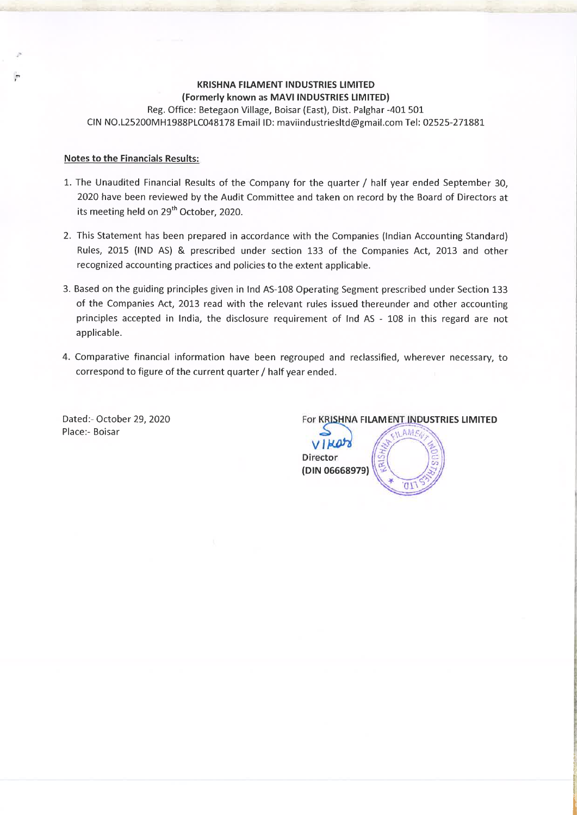# **KRISHNA FILAMENT INDUSTRIES LIMITED (Formerly known as MAVIINDUSTRIES LIMITED)**

Reg. Office: Betegaon Village, Boisar (East), Dist. Palghar -401501 ClN NO.L25200MH1988PLC048178 Email 10: maviindustriesltd@gmail.com Tel: 02525-271881

#### **Notes to the Financials Results:**

..,

- 1. The Unaudited Financial Results of the Company for the quarter / half year ended September 30, 2020 have been reviewed by the Audit Committee and taken on record by the Board of Directors at its meeting held on 29<sup>th</sup> October, 2020.
- 2. This Statement has been prepared in accordance with the Companies (Indian Accounting Standard) kules, 2015 (IND AS) & prescribed under section 133 of the Companies Act, 2013 and othe recognized accounting practices and policies to the extent applicable.
- 3. Based on the guiding principles given in Ind AS-108 Operating Segment prescribed under Section 133 of the Companies Act, 2013 read with the relevant rules issued thereunder and other accounting principles accepted in India, the disclosure requirement of Ind AS - 108 in this regard are not applicable.
- 4. Comparative financial information have been regrouped and reclassified, wherever necessary, to correspond to figure of the current quarter / half year ended.

Dated:- October 29, 2020 Place:- Boisar

## For KRISHNA FILAMENT INDUSTRIES LIMITED

**AAA** 

Director (DIN 06668979)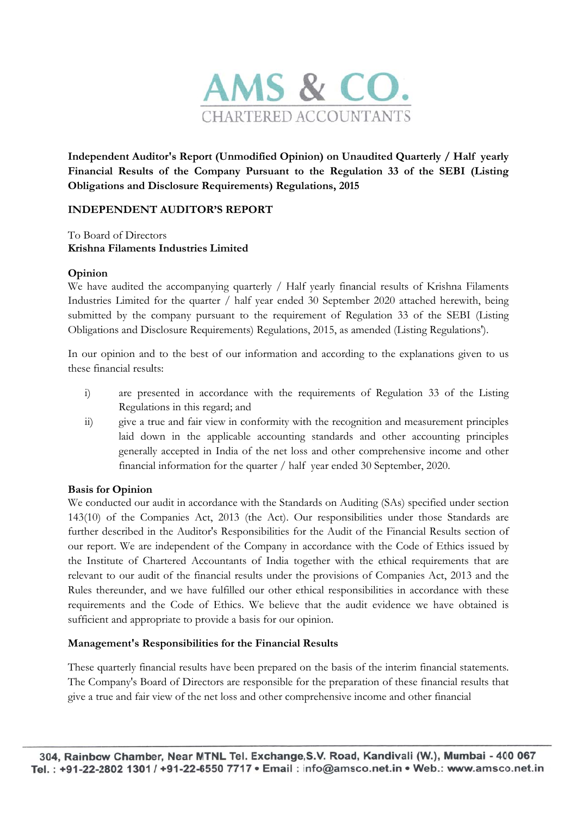

Independent Auditor's Report (Unmodified Opinion) on Unaudited Quarterly / Half yearly Financial Results of the Company Pursuant to the Regulation 33 of the SEBI (Listing **Obligations and Disclosure Requirements) Regulations, 2015** 

# **INDEPENDENT AUDITOR'S REPORT**

# To Board of Directors Krishna Filaments Industries Limited

# Opinion

We have audited the accompanying quarterly / Half yearly financial results of Krishna Filaments Industries Limited for the quarter / half year ended 30 September 2020 attached herewith, being submitted by the company pursuant to the requirement of Regulation 33 of the SEBI (Listing Obligations and Disclosure Requirements) Regulations, 2015, as amended (Listing Regulations').

In our opinion and to the best of our information and according to the explanations given to us these financial results:

- $\ddot{1}$ are presented in accordance with the requirements of Regulation 33 of the Listing Regulations in this regard; and
- give a true and fair view in conformity with the recognition and measurement principles  $\ddot{i}$ laid down in the applicable accounting standards and other accounting principles generally accepted in India of the net loss and other comprehensive income and other financial information for the quarter / half year ended 30 September, 2020.

# **Basis for Opinion**

We conducted our audit in accordance with the Standards on Auditing (SAs) specified under section 143(10) of the Companies Act, 2013 (the Act). Our responsibilities under those Standards are further described in the Auditor's Responsibilities for the Audit of the Financial Results section of our report. We are independent of the Company in accordance with the Code of Ethics issued by the Institute of Chartered Accountants of India together with the ethical requirements that are relevant to our audit of the financial results under the provisions of Companies Act, 2013 and the Rules thereunder, and we have fulfilled our other ethical responsibilities in accordance with these requirements and the Code of Ethics. We believe that the audit evidence we have obtained is sufficient and appropriate to provide a basis for our opinion.

# Management's Responsibilities for the Financial Results

These quarterly financial results have been prepared on the basis of the interim financial statements. The Company's Board of Directors are responsible for the preparation of these financial results that give a true and fair view of the net loss and other comprehensive income and other financial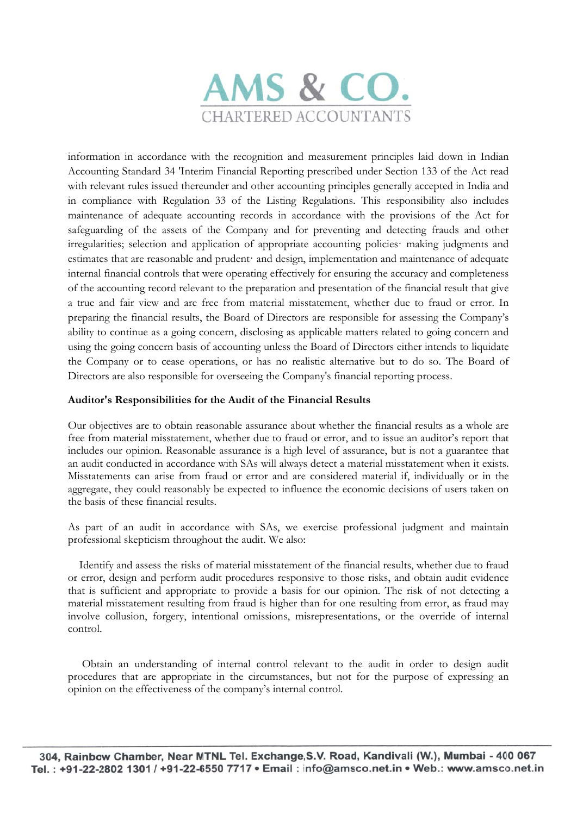

information in accordance with the recognition and measurement principles laid down in Indian Accounting Standard 34 'Interim Financial Reporting prescribed under Section 133 of the Act read with relevant rules issued thereunder and other accounting principles generally accepted in India and in compliance with Regulation 33 of the Listing Regulations. This responsibility also includes maintenance of adequate accounting records in accordance with the provisions of the Act for safeguarding of the assets of the Company and for preventing and detecting frauds and other irregularities; selection and application of appropriate accounting policies· making judgments and estimates that are reasonable and prudent and design, implementation and maintenance of adequate internal financial controls that were operating effectively for ensuring the accuracy and completeness of the accounting record relevant to the preparation and presentation of the financial result that give a true and fair view and are free from material misstatement, whether due to fraud or error. In preparing the financial results, the Board of Directors are responsible for assessing the Company's ability to continue as a going concern, disclosing as applicable matters related to going concern and using the going concern basis of accounting unless the Board of Directors either intends to liquidate the Company or to cease operations, or has no realistic alternative but to do so. The Board of Directors are also responsible for overseeing the Company's financial reporting process.

### Auditor's Responsibilities for the Audit of the Financial Results

Our objectives are to obtain reasonable assurance about whether the financial results as a whole are free from material misstatement, whether due to fraud or error, and to issue an auditor's report that includes our opinion. Reasonable assurance is a high level of assurance, but is not a guarantee that an audit conducted in accordance with SAs will always detect a material misstatement when it exists. Misstatements can arise from fraud or error and are considered material if, individually or in the aggregate, they could reasonably be expected to influence the economic decisions of users taken on the basis of these financial results.

As part of an audit in accordance with SAs, we exercise professional judgment and maintain professional skepticism throughout the audit. We also:

Identify and assess the risks of material misstatement of the financial results, whether due to fraud or error, design and perform audit procedures responsive to those risks, and obtain audit evidence that is sufficient and appropriate to provide a basis for our opinion. The risk of not detecting a material misstatement resulting from fraud is higher than for one resulting from error, as fraud may involve collusion, forgery, intentional omissions, misrepresentations, or the override of internal control.

Obtain an understanding of internal control relevant to the audit in order to design audit procedures that are appropriate in the circumstances, but not for the purpose of expressing an opinion on the effectiveness of the company's internal control.